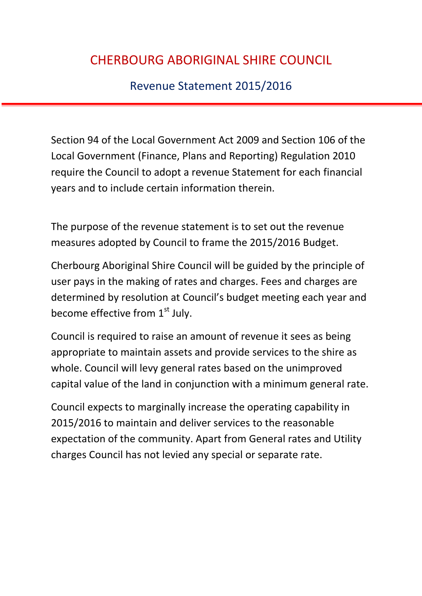Revenue Statement 2015/2016

Section 94 of the Local Government Act 2009 and Section 106 of the Local Government (Finance, Plans and Reporting) Regulation 2010 require the Council to adopt a revenue Statement for each financial years and to include certain information therein.

The purpose of the revenue statement is to set out the revenue measures adopted by Council to frame the 2015/2016 Budget.

Cherbourg Aboriginal Shire Council will be guided by the principle of user pays in the making of rates and charges. Fees and charges are determined by resolution at Council's budget meeting each year and become effective from  $1<sup>st</sup>$  July.

Council is required to raise an amount of revenue it sees as being appropriate to maintain assets and provide services to the shire as whole. Council will levy general rates based on the unimproved capital value of the land in conjunction with a minimum general rate.

Council expects to marginally increase the operating capability in 2015/2016 to maintain and deliver services to the reasonable expectation of the community. Apart from General rates and Utility charges Council has not levied any special or separate rate.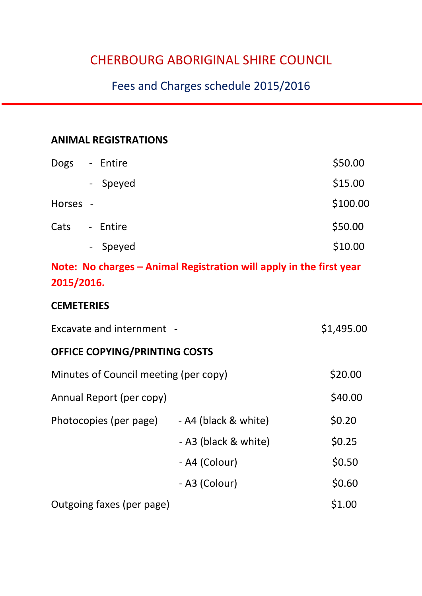### Fees and Charges schedule 2015/2016

#### **ANIMAL REGISTRATIONS**

| <b>Dogs</b> | - Entire | \$50.00  |
|-------------|----------|----------|
|             | - Speyed | \$15.00  |
| Horses -    |          | \$100.00 |
| Cats        | - Entire | \$50.00  |
|             | - Speyed | \$10.00  |

#### **Note: No charges – Animal Registration will apply in the first year 2015/2016.**

#### **CEMETERIES**

| Excavate and internment -             | \$1,495.00           |         |  |  |
|---------------------------------------|----------------------|---------|--|--|
| <b>OFFICE COPYING/PRINTING COSTS</b>  |                      |         |  |  |
| Minutes of Council meeting (per copy) | \$20.00              |         |  |  |
| Annual Report (per copy)              |                      | \$40.00 |  |  |
| Photocopies (per page)                | - A4 (black & white) | \$0.20  |  |  |
|                                       | - A3 (black & white) | \$0.25  |  |  |
|                                       | - A4 (Colour)        | \$0.50  |  |  |
|                                       | - A3 (Colour)        | \$0.60  |  |  |
| Outgoing faxes (per page)             | \$1.00               |         |  |  |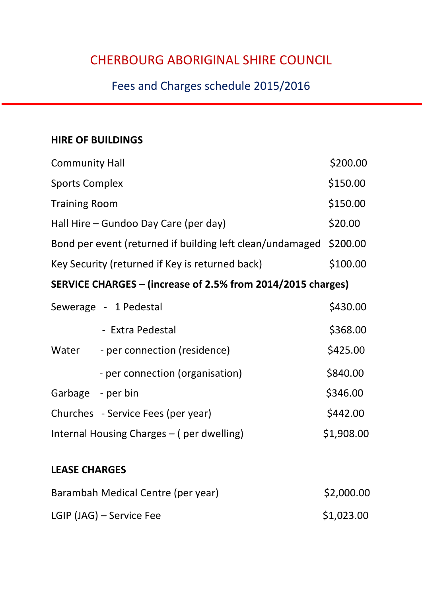## Fees and Charges schedule 2015/2016

#### **HIRE OF BUILDINGS**

| <b>Community Hall</b>                                       |                                    | \$200.00 |  |
|-------------------------------------------------------------|------------------------------------|----------|--|
| <b>Sports Complex</b>                                       |                                    | \$150.00 |  |
| <b>Training Room</b>                                        |                                    |          |  |
| Hall Hire – Gundoo Day Care (per day)                       |                                    |          |  |
| Bond per event (returned if building left clean/undamaged   |                                    |          |  |
| Key Security (returned if Key is returned back)             |                                    |          |  |
| SERVICE CHARGES – (increase of 2.5% from 2014/2015 charges) |                                    |          |  |
|                                                             | Sewerage - 1 Pedestal              | \$430.00 |  |
|                                                             | - Extra Pedestal                   | \$368.00 |  |
| Water                                                       | - per connection (residence)       | \$425.00 |  |
|                                                             | - per connection (organisation)    | \$840.00 |  |
| Garbage - per bin                                           |                                    | \$346.00 |  |
|                                                             | Churches - Service Fees (per year) | \$442.00 |  |
| \$1,908.00<br>Internal Housing Charges – (per dwelling)     |                                    |          |  |

#### **LEASE CHARGES**

| Barambah Medical Centre (per year) | \$2,000.00 |
|------------------------------------|------------|
| LGIP (JAG) – Service Fee           | \$1,023.00 |